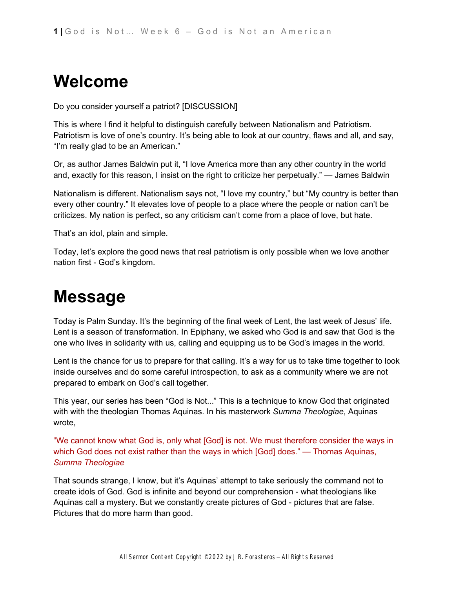# **Welcome**

Do you consider yourself a patriot? [DISCUSSION]

This is where I find it helpful to distinguish carefully between Nationalism and Patriotism. Patriotism is love of one's country. It's being able to look at our country, flaws and all, and say, "I'm really glad to be an American."

Or, as author James Baldwin put it, "I love America more than any other country in the world and, exactly for this reason, I insist on the right to criticize her perpetually." — James Baldwin

Nationalism is different. Nationalism says not, "I love my country," but "My country is better than every other country." It elevates love of people to a place where the people or nation can't be criticizes. My nation is perfect, so any criticism can't come from a place of love, but hate.

That's an idol, plain and simple.

Today, let's explore the good news that real patriotism is only possible when we love another nation first - God's kingdom.

# **Message**

Today is Palm Sunday. It's the beginning of the final week of Lent, the last week of Jesus' life. Lent is a season of transformation. In Epiphany, we asked who God is and saw that God is the one who lives in solidarity with us, calling and equipping us to be God's images in the world.

Lent is the chance for us to prepare for that calling. It's a way for us to take time together to look inside ourselves and do some careful introspection, to ask as a community where we are not prepared to embark on God's call together.

This year, our series has been "God is Not..." This is a technique to know God that originated with with the theologian Thomas Aquinas. In his masterwork *Summa Theologiae*, Aquinas wrote,

"We cannot know what God is, only what [God] is not. We must therefore consider the ways in which God does not exist rather than the ways in which [God] does." — Thomas Aquinas, *Summa Theologiae*

That sounds strange, I know, but it's Aquinas' attempt to take seriously the command not to create idols of God. God is infinite and beyond our comprehension - what theologians like Aquinas call a mystery. But we constantly create pictures of God - pictures that are false. Pictures that do more harm than good.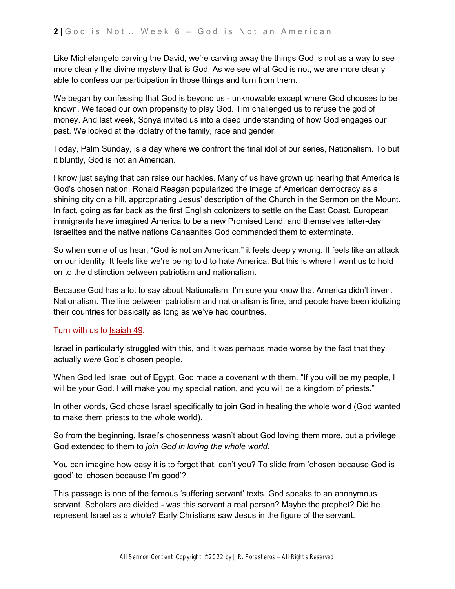Like Michelangelo carving the David, we're carving away the things God is not as a way to see more clearly the divine mystery that is God. As we see what God is not, we are more clearly able to confess our participation in those things and turn from them.

We began by confessing that God is beyond us - unknowable except where God chooses to be known. We faced our own propensity to play God. Tim challenged us to refuse the god of money. And last week, Sonya invited us into a deep understanding of how God engages our past. We looked at the idolatry of the family, race and gender.

Today, Palm Sunday, is a day where we confront the final idol of our series, Nationalism. To but it bluntly, God is not an American.

I know just saying that can raise our hackles. Many of us have grown up hearing that America is God's chosen nation. Ronald Reagan popularized the image of American democracy as a shining city on a hill, appropriating Jesus' description of the Church in the Sermon on the Mount. In fact, going as far back as the first English colonizers to settle on the East Coast, European immigrants have imagined America to be a new Promised Land, and themselves latter-day Israelites and the native nations Canaanites God commanded them to exterminate.

So when some of us hear, "God is not an American," it feels deeply wrong. It feels like an attack on our identity. It feels like we're being told to hate America. But this is where I want us to hold on to the distinction between patriotism and nationalism.

Because God has a lot to say about Nationalism. I'm sure you know that America didn't invent Nationalism. The line between patriotism and nationalism is fine, and people have been idolizing their countries for basically as long as we've had countries.

#### Turn with us t[o](https://ref.ly/logosref/bible$2Bnlt.23.49) [Isaiah 49.](https://ref.ly/logosref/bible$2Bnlt.23.49)

Israel in particularly struggled with this, and it was perhaps made worse by the fact that they actually *were* God's chosen people.

When God led Israel out of Egypt, God made a covenant with them. "If you will be my people, I will be your God. I will make you my special nation, and you will be a kingdom of priests."

In other words, God chose Israel specifically to join God in healing the whole world (God wanted to make them priests to the whole world).

So from the beginning, Israel's chosenness wasn't about God loving them more, but a privilege God extended to them to *join God in loving the whole world*.

You can imagine how easy it is to forget that, can't you? To slide from 'chosen because God is good' to 'chosen because I'm good'?

This passage is one of the famous 'suffering servant' texts. God speaks to an anonymous servant. Scholars are divided - was this servant a real person? Maybe the prophet? Did he represent Israel as a whole? Early Christians saw Jesus in the figure of the servant.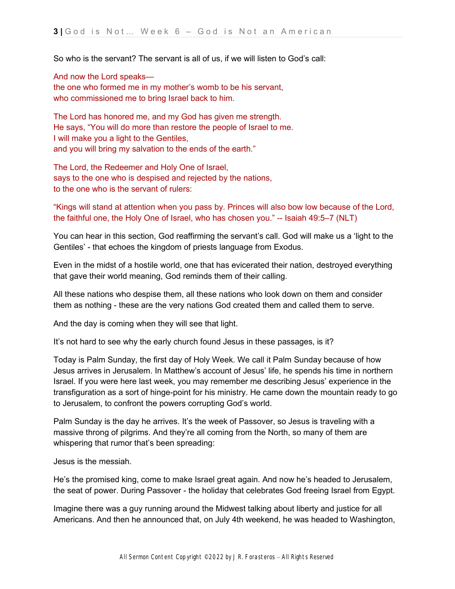So who is the servant? The servant is all of us, if we will listen to God's call:

And now the Lord speaks the one who formed me in my mother's womb to be his servant, who commissioned me to bring Israel back to him.

The Lord has honored me, and my God has given me strength. He says, "You will do more than restore the people of Israel to me. I will make you a light to the Gentiles, and you will bring my salvation to the ends of the earth."

The Lord, the Redeemer and Holy One of Israel, says to the one who is despised and rejected by the nations, to the one who is the servant of rulers:

"Kings will stand at attention when you pass by. Princes will also bow low because of the Lord, the faithful one, the Holy One of Israel, who has chosen you." -- Isaiah 49:5–7 (NLT)

You can hear in this section, God reaffirming the servant's call. God will make us a 'light to the Gentiles' - that echoes the kingdom of priests language from Exodus.

Even in the midst of a hostile world, one that has evicerated their nation, destroyed everything that gave their world meaning, God reminds them of their calling.

All these nations who despise them, all these nations who look down on them and consider them as nothing - these are the very nations God created them and called them to serve.

And the day is coming when they will see that light.

It's not hard to see why the early church found Jesus in these passages, is it?

Today is Palm Sunday, the first day of Holy Week. We call it Palm Sunday because of how Jesus arrives in Jerusalem. In Matthew's account of Jesus' life, he spends his time in northern Israel. If you were here last week, you may remember me describing Jesus' experience in the transfiguration as a sort of hinge-point for his ministry. He came down the mountain ready to go to Jerusalem, to confront the powers corrupting God's world.

Palm Sunday is the day he arrives. It's the week of Passover, so Jesus is traveling with a massive throng of pilgrims. And they're all coming from the North, so many of them are whispering that rumor that's been spreading:

Jesus is the messiah.

He's the promised king, come to make Israel great again. And now he's headed to Jerusalem, the seat of power. During Passover - the holiday that celebrates God freeing Israel from Egypt.

Imagine there was a guy running around the Midwest talking about liberty and justice for all Americans. And then he announced that, on July 4th weekend, he was headed to Washington,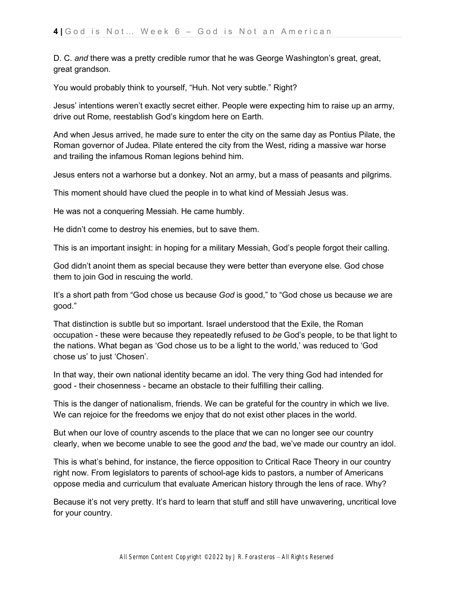D. C. *and* there was a pretty credible rumor that he was George Washington's great, great, great grandson.

You would probably think to yourself, "Huh. Not very subtle." Right?

Jesus' intentions weren't exactly secret either. People were expecting him to raise up an army, drive out Rome, reestablish God's kingdom here on Earth.

And when Jesus arrived, he made sure to enter the city on the same day as Pontius Pilate, the Roman governor of Judea. Pilate entered the city from the West, riding a massive war horse and trailing the infamous Roman legions behind him.

Jesus enters not a warhorse but a donkey. Not an army, but a mass of peasants and pilgrims.

This moment should have clued the people in to what kind of Messiah Jesus was.

He was not a conquering Messiah. He came humbly.

He didn't come to destroy his enemies, but to save them.

This is an important insight: in hoping for a military Messiah, God's people forgot their calling.

God didn't anoint them as special because they were better than everyone else. God chose them to join God in rescuing the world.

It's a short path from "God chose us because *God* is good," to "God chose us because *we* are good."

That distinction is subtle but so important. Israel understood that the Exile, the Roman occupation - these were because they repeatedly refused to *be* God's people, to be that light to the nations. What began as 'God chose us to be a light to the world,' was reduced to 'God chose us' to just 'Chosen'.

In that way, their own national identity became an idol. The very thing God had intended for good - their chosenness - became an obstacle to their fulfilling their calling.

This is the danger of nationalism, friends. We can be grateful for the country in which we live. We can rejoice for the freedoms we enjoy that do not exist other places in the world.

But when our love of country ascends to the place that we can no longer see our country clearly, when we become unable to see the good *and* the bad, we've made our country an idol.

This is what's behind, for instance, the fierce opposition to Critical Race Theory in our country right now. From legislators to parents of school-age kids to pastors, a number of Americans oppose media and curriculum that evaluate American history through the lens of race. Why?

Because it's not very pretty. It's hard to learn that stuff and still have unwavering, uncritical love for your country.